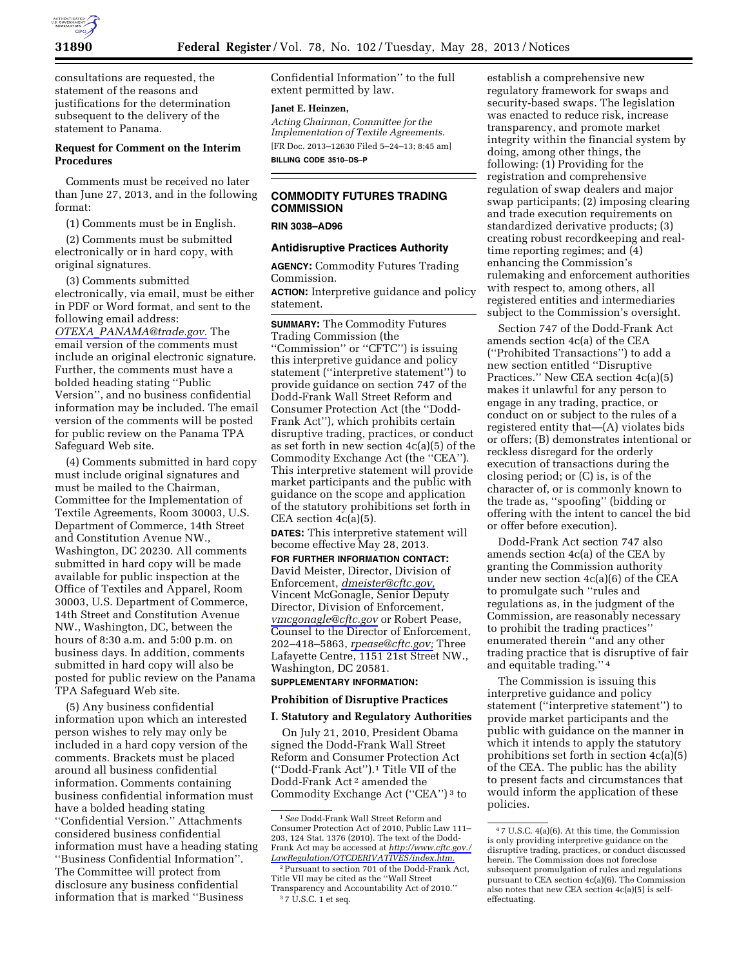

consultations are requested, the statement of the reasons and justifications for the determination subsequent to the delivery of the statement to Panama.

# **Request for Comment on the Interim Procedures**

Comments must be received no later than June 27, 2013, and in the following format:

(1) Comments must be in English.

(2) Comments must be submitted electronically or in hard copy, with original signatures.

(3) Comments submitted electronically, via email, must be either in PDF or Word format, and sent to the following email address: *OTEXA*\_*[PANAMA@trade.gov.](mailto:OTEXA_PANAMA@trade.gov)* The email version of the comments must include an original electronic signature. Further, the comments must have a bolded heading stating ''Public Version'', and no business confidential information may be included. The email version of the comments will be posted for public review on the Panama TPA Safeguard Web site.

(4) Comments submitted in hard copy must include original signatures and must be mailed to the Chairman, Committee for the Implementation of Textile Agreements, Room 30003, U.S. Department of Commerce, 14th Street and Constitution Avenue NW., Washington, DC 20230. All comments submitted in hard copy will be made available for public inspection at the Office of Textiles and Apparel, Room 30003, U.S. Department of Commerce, 14th Street and Constitution Avenue NW., Washington, DC, between the hours of 8:30 a.m. and 5:00 p.m. on business days. In addition, comments submitted in hard copy will also be posted for public review on the Panama TPA Safeguard Web site.

(5) Any business confidential information upon which an interested person wishes to rely may only be included in a hard copy version of the comments. Brackets must be placed around all business confidential information. Comments containing business confidential information must have a bolded heading stating ''Confidential Version.'' Attachments considered business confidential information must have a heading stating ''Business Confidential Information''. The Committee will protect from disclosure any business confidential information that is marked ''Business

Confidential Information'' to the full extent permitted by law.

#### **Janet E. Heinzen,**

*Acting Chairman, Committee for the Implementation of Textile Agreements.*  [FR Doc. 2013–12630 Filed 5–24–13; 8:45 am] **BILLING CODE 3510–DS–P** 

# **COMMODITY FUTURES TRADING COMMISSION**

#### **RIN 3038–AD96**

# **Antidisruptive Practices Authority**

**AGENCY:** Commodity Futures Trading Commission.

**ACTION:** Interpretive guidance and policy statement.

**SUMMARY:** The Commodity Futures Trading Commission (the ''Commission'' or ''CFTC'') is issuing this interpretive guidance and policy statement (''interpretive statement'') to provide guidance on section 747 of the Dodd-Frank Wall Street Reform and Consumer Protection Act (the ''Dodd-Frank Act''), which prohibits certain disruptive trading, practices, or conduct as set forth in new section 4c(a)(5) of the Commodity Exchange Act (the ''CEA''). This interpretive statement will provide market participants and the public with guidance on the scope and application of the statutory prohibitions set forth in CEA section 4c(a)(5).

**DATES:** This interpretive statement will become effective May 28, 2013.

**FOR FURTHER INFORMATION CONTACT:**  David Meister, Director, Division of Enforcement, *[dmeister@cftc.gov,](mailto:dmeister@cftc.gov)*  Vincent McGonagle, Senior Deputy Director, Division of Enforcement, *[vmcgonagle@cftc.gov](mailto:vmcgonagle@cftc.gov)* or Robert Pease, Counsel to the Director of Enforcement, 202–418–5863, *[rpease@cftc.gov;](mailto:rpease@cftc.gov)* Three Lafayette Centre, 1151 21st Street NW., Washington, DC 20581.

### **SUPPLEMENTARY INFORMATION:**

# **Prohibition of Disruptive Practices**

# **I. Statutory and Regulatory Authorities**

On July 21, 2010, President Obama signed the Dodd-Frank Wall Street Reform and Consumer Protection Act (''Dodd-Frank Act'').1 Title VII of the Dodd-Frank Act 2 amended the Commodity Exchange Act (''CEA'') 3 to

establish a comprehensive new regulatory framework for swaps and security-based swaps. The legislation was enacted to reduce risk, increase transparency, and promote market integrity within the financial system by doing, among other things, the following: (1) Providing for the registration and comprehensive regulation of swap dealers and major swap participants; (2) imposing clearing and trade execution requirements on standardized derivative products; (3) creating robust recordkeeping and realtime reporting regimes; and (4) enhancing the Commission's rulemaking and enforcement authorities with respect to, among others, all registered entities and intermediaries subject to the Commission's oversight.

Section 747 of the Dodd-Frank Act amends section 4c(a) of the CEA (''Prohibited Transactions'') to add a new section entitled ''Disruptive Practices.'' New CEA section 4c(a)(5) makes it unlawful for any person to engage in any trading, practice, or conduct on or subject to the rules of a registered entity that—(A) violates bids or offers; (B) demonstrates intentional or reckless disregard for the orderly execution of transactions during the closing period; or (C) is, is of the character of, or is commonly known to the trade as, ''spoofing'' (bidding or offering with the intent to cancel the bid or offer before execution).

Dodd-Frank Act section 747 also amends section 4c(a) of the CEA by granting the Commission authority under new section 4c(a)(6) of the CEA to promulgate such ''rules and regulations as, in the judgment of the Commission, are reasonably necessary to prohibit the trading practices'' enumerated therein ''and any other trading practice that is disruptive of fair and equitable trading.'' 4

The Commission is issuing this interpretive guidance and policy statement (''interpretive statement'') to provide market participants and the public with guidance on the manner in which it intends to apply the statutory prohibitions set forth in section 4c(a)(5) of the CEA. The public has the ability to present facts and circumstances that would inform the application of these policies.

<sup>1</sup>*See* Dodd-Frank Wall Street Reform and Consumer Protection Act of 2010, Public Law 111– 203, 124 Stat. 1376 (2010). The text of the Dodd-Frank Act may be accessed at *[http://www.cftc.gov./](http://www.cftc.gov./LawRegulation/OTCDERIVATIVES/index.htm) [LawRegulation/OTCDERIVATIVES/index.htm.](http://www.cftc.gov./LawRegulation/OTCDERIVATIVES/index.htm)* 

<sup>2</sup>Pursuant to section 701 of the Dodd-Frank Act, Title VII may be cited as the ''Wall Street Transparency and Accountability Act of 2010.'' 3 7 U.S.C. 1 et seq.

<sup>4</sup> 7 U.S.C. 4(a)(6). At this time, the Commission is only providing interpretive guidance on the disruptive trading, practices, or conduct discussed herein. The Commission does not foreclose subsequent promulgation of rules and regulations pursuant to CEA section 4c(a)(6). The Commission also notes that new CEA section 4c(a)(5) is selfeffectuating.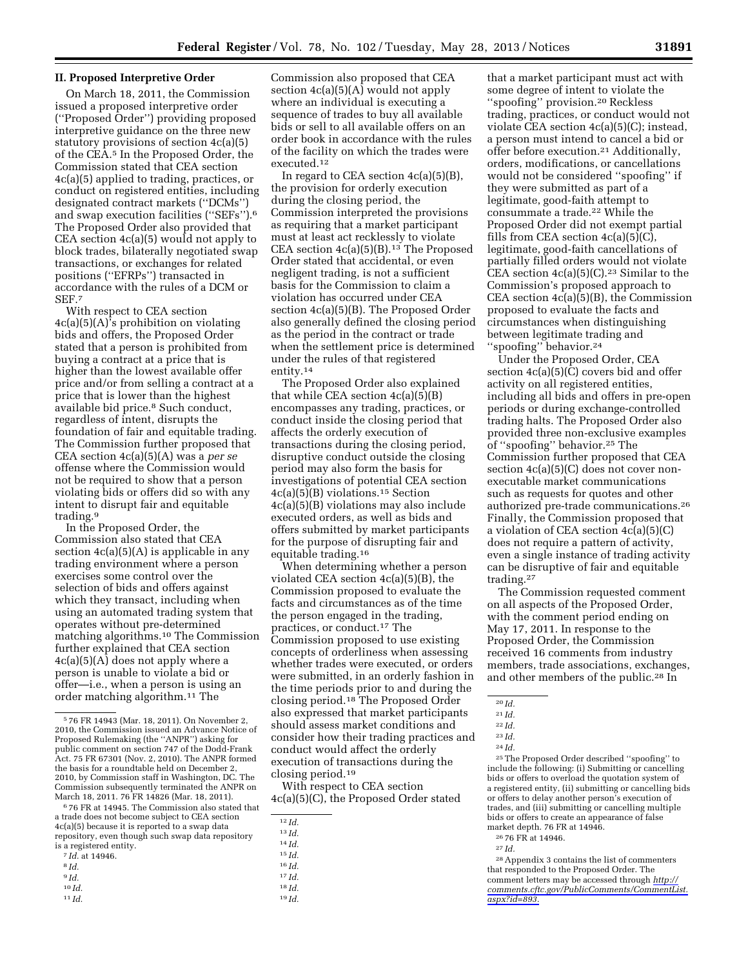#### **II. Proposed Interpretive Order**

On March 18, 2011, the Commission issued a proposed interpretive order (''Proposed Order'') providing proposed interpretive guidance on the three new statutory provisions of section 4c(a)(5) of the CEA.5 In the Proposed Order, the Commission stated that CEA section 4c(a)(5) applied to trading, practices, or conduct on registered entities, including designated contract markets (''DCMs'') and swap execution facilities (''SEFs'').6 The Proposed Order also provided that CEA section 4c(a)(5) would not apply to block trades, bilaterally negotiated swap transactions, or exchanges for related positions (''EFRPs'') transacted in accordance with the rules of a DCM or SEF<sub>7</sub>

With respect to CEA section 4c(a)(5)(A)'s prohibition on violating bids and offers, the Proposed Order stated that a person is prohibited from buying a contract at a price that is higher than the lowest available offer price and/or from selling a contract at a price that is lower than the highest available bid price.8 Such conduct, regardless of intent, disrupts the foundation of fair and equitable trading. The Commission further proposed that CEA section 4c(a)(5)(A) was a *per se*  offense where the Commission would not be required to show that a person violating bids or offers did so with any intent to disrupt fair and equitable trading.9

In the Proposed Order, the Commission also stated that CEA section 4c(a)(5)(A) is applicable in any trading environment where a person exercises some control over the selection of bids and offers against which they transact, including when using an automated trading system that operates without pre-determined matching algorithms.10 The Commission further explained that CEA section 4c(a)(5)(A) does not apply where a person is unable to violate a bid or offer—i.e., when a person is using an order matching algorithm.11 The

 $676$  FR at 14945. The Commission also stated that a trade does not become subject to CEA section 4c(a)(5) because it is reported to a swap data repository, even though such swap data repository is a registered entity. 7 *Id.* at 14946. 8 *Id.* 

- 
- 9 *Id.*
- 10 *Id.*
- 
- 11 *Id.*

Commission also proposed that CEA section  $4c(a)(5)(A)$  would not apply where an individual is executing a sequence of trades to buy all available bids or sell to all available offers on an order book in accordance with the rules of the facility on which the trades were executed.12

In regard to CEA section  $4c(a)(5)(B)$ , the provision for orderly execution during the closing period, the Commission interpreted the provisions as requiring that a market participant must at least act recklessly to violate CEA section  $4c(a)(5)(B).$ <sup>13</sup> The Proposed Order stated that accidental, or even negligent trading, is not a sufficient basis for the Commission to claim a violation has occurred under CEA section 4c(a)(5)(B). The Proposed Order also generally defined the closing period as the period in the contract or trade when the settlement price is determined under the rules of that registered entity.14

The Proposed Order also explained that while CEA section  $4c(a)(5)(B)$ encompasses any trading, practices, or conduct inside the closing period that affects the orderly execution of transactions during the closing period, disruptive conduct outside the closing period may also form the basis for investigations of potential CEA section 4c(a)(5)(B) violations.15 Section 4c(a)(5)(B) violations may also include executed orders, as well as bids and offers submitted by market participants for the purpose of disrupting fair and equitable trading.16

When determining whether a person violated CEA section 4c(a)(5)(B), the Commission proposed to evaluate the facts and circumstances as of the time the person engaged in the trading, practices, or conduct.17 The Commission proposed to use existing concepts of orderliness when assessing whether trades were executed, or orders were submitted, in an orderly fashion in the time periods prior to and during the closing period.18 The Proposed Order also expressed that market participants should assess market conditions and consider how their trading practices and conduct would affect the orderly execution of transactions during the closing period.19

With respect to CEA section 4c(a)(5)(C), the Proposed Order stated

- 15 *Id.*
- 16 *Id.*
- 17 *Id.*
- 18 *Id.*
- 19 *Id.*

that a market participant must act with some degree of intent to violate the ''spoofing'' provision.20 Reckless trading, practices, or conduct would not violate CEA section 4c(a)(5)(C); instead, a person must intend to cancel a bid or offer before execution.21 Additionally, orders, modifications, or cancellations would not be considered ''spoofing'' if they were submitted as part of a legitimate, good-faith attempt to consummate a trade.22 While the Proposed Order did not exempt partial fills from CEA section 4c(a)(5)(C), legitimate, good-faith cancellations of partially filled orders would not violate CEA section  $4c(a)(5)(C).^{23}$  Similar to the Commission's proposed approach to CEA section 4c(a)(5)(B), the Commission proposed to evaluate the facts and circumstances when distinguishing between legitimate trading and ''spoofing'' behavior.24

Under the Proposed Order, CEA section 4c(a)(5)(C) covers bid and offer activity on all registered entities, including all bids and offers in pre-open periods or during exchange-controlled trading halts. The Proposed Order also provided three non-exclusive examples of ''spoofing'' behavior.25 The Commission further proposed that CEA section  $4c(a)(5)(C)$  does not cover nonexecutable market communications such as requests for quotes and other authorized pre-trade communications.26 Finally, the Commission proposed that a violation of CEA section 4c(a)(5)(C) does not require a pattern of activity, even a single instance of trading activity can be disruptive of fair and equitable trading.27

The Commission requested comment on all aspects of the Proposed Order, with the comment period ending on May 17, 2011. In response to the Proposed Order, the Commission received 16 comments from industry members, trade associations, exchanges, and other members of the public.28 In

25The Proposed Order described ''spoofing'' to include the following: (i) Submitting or cancelling bids or offers to overload the quotation system of a registered entity, (ii) submitting or cancelling bids or offers to delay another person's execution of trades, and (iii) submitting or cancelling multiple bids or offers to create an appearance of false market depth. 76 FR at 14946.

28Appendix 3 contains the list of commenters that responded to the Proposed Order. The comment letters may be accessed through *[http://](http://comments.cftc.gov/PublicComments/CommentList.aspx?id=893) [comments.cftc.gov/PublicComments/CommentList.](http://comments.cftc.gov/PublicComments/CommentList.aspx?id=893) [aspx?id=893.](http://comments.cftc.gov/PublicComments/CommentList.aspx?id=893)* 

<sup>5</sup> 76 FR 14943 (Mar. 18, 2011). On November 2, 2010, the Commission issued an Advance Notice of Proposed Rulemaking (the ''ANPR'') asking for public comment on section 747 of the Dodd-Frank Act. 75 FR 67301 (Nov. 2, 2010). The ANPR formed the basis for a roundtable held on December 2, 2010, by Commission staff in Washington, DC. The Commission subsequently terminated the ANPR on

<sup>12</sup> *Id.* 

<sup>13</sup> *Id.* 

<sup>14</sup> *Id.* 

<sup>20</sup> *Id.* 

<sup>21</sup> *Id.* 

<sup>22</sup> *Id.* 

<sup>23</sup> *Id.* 

<sup>24</sup> *Id.* 

<sup>26</sup> 76 FR at 14946.

 $\,$   $^{27}$   $Id.$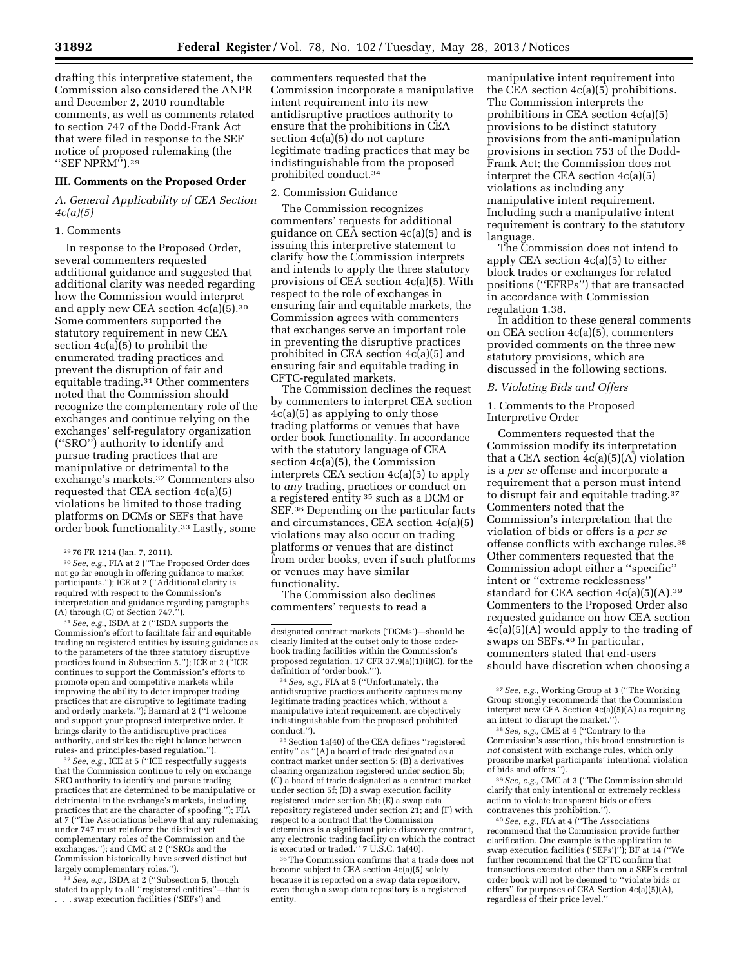drafting this interpretive statement, the Commission also considered the ANPR and December 2, 2010 roundtable comments, as well as comments related to section 747 of the Dodd-Frank Act that were filed in response to the SEF notice of proposed rulemaking (the ''SEF NPRM'').29

### **III. Comments on the Proposed Order**

# *A. General Applicability of CEA Section 4c(a)(5)*

#### 1. Comments

In response to the Proposed Order, several commenters requested additional guidance and suggested that additional clarity was needed regarding how the Commission would interpret and apply new CEA section 4c(a)(5).30 Some commenters supported the statutory requirement in new CEA section 4c(a)(5) to prohibit the enumerated trading practices and prevent the disruption of fair and equitable trading.<sup>31</sup> Other commenters noted that the Commission should recognize the complementary role of the exchanges and continue relying on the exchanges' self-regulatory organization (''SRO'') authority to identify and pursue trading practices that are manipulative or detrimental to the exchange's markets.32 Commenters also requested that CEA section 4c(a)(5) violations be limited to those trading platforms on DCMs or SEFs that have order book functionality.33 Lastly, some

31*See, e.g.,* ISDA at 2 (''ISDA supports the Commission's effort to facilitate fair and equitable trading on registered entities by issuing guidance as to the parameters of the three statutory disruptive practices found in Subsection 5.''); ICE at 2 (''ICE continues to support the Commission's efforts to promote open and competitive markets while improving the ability to deter improper trading practices that are disruptive to legitimate trading and orderly markets.''); Barnard at 2 (''I welcome and support your proposed interpretive order. It brings clarity to the antidisruptive practices authority, and strikes the right balance between rules- and principles-based regulation.'').

32*See, e.g.,* ICE at 5 (''ICE respectfully suggests that the Commission continue to rely on exchange SRO authority to identify and pursue trading practices that are determined to be manipulative or detrimental to the exchange's markets, including practices that are the character of spoofing.''); FIA at 7 (''The Associations believe that any rulemaking under 747 must reinforce the distinct yet complementary roles of the Commission and the exchanges.''); and CMC at 2 (''SROs and the Commission historically have served distinct but largely complementary roles.'').

33*See, e.g.,* ISDA at 2 (''Subsection 5, though stated to apply to all ''registered entities''—that is . . . swap execution facilities ('SEFs') and

commenters requested that the Commission incorporate a manipulative intent requirement into its new antidisruptive practices authority to ensure that the prohibitions in CEA section 4c(a)(5) do not capture legitimate trading practices that may be indistinguishable from the proposed prohibited conduct.34

## 2. Commission Guidance

The Commission recognizes commenters' requests for additional guidance on CEA section 4c(a)(5) and is issuing this interpretive statement to clarify how the Commission interprets and intends to apply the three statutory provisions of CEA section 4c(a)(5). With respect to the role of exchanges in ensuring fair and equitable markets, the Commission agrees with commenters that exchanges serve an important role in preventing the disruptive practices prohibited in CEA section 4c(a)(5) and ensuring fair and equitable trading in CFTC-regulated markets.

The Commission declines the request by commenters to interpret CEA section 4c(a)(5) as applying to only those trading platforms or venues that have order book functionality. In accordance with the statutory language of CEA section 4c(a)(5), the Commission interprets CEA section 4c(a)(5) to apply to *any* trading, practices or conduct on a registered entity 35 such as a DCM or SEF.36 Depending on the particular facts and circumstances, CEA section 4c(a)(5) violations may also occur on trading platforms or venues that are distinct from order books, even if such platforms or venues may have similar functionality.

The Commission also declines commenters' requests to read a

34*See, e.g.,* FIA at 5 (''Unfortunately, the antidisruptive practices authority captures many legitimate trading practices which, without a manipulative intent requirement, are objectively indistinguishable from the proposed prohibited conduct.'').

35Section 1a(40) of the CEA defines ''registered entity'' as ''(A) a board of trade designated as a contract market under section 5; (B) a derivatives clearing organization registered under section 5b; (C) a board of trade designated as a contract market under section 5f; (D) a swap execution facility registered under section 5h; (E) a swap data repository registered under section 21; and (F) with respect to a contract that the Commission determines is a significant price discovery contract, any electronic trading facility on which the contract is executed or traded.'' 7 U.S.C. 1a(40).

36The Commission confirms that a trade does not become subject to CEA section 4c(a)(5) solely because it is reported on a swap data repository, even though a swap data repository is a registered entity.

manipulative intent requirement into the CEA section 4c(a)(5) prohibitions. The Commission interprets the prohibitions in CEA section 4c(a)(5) provisions to be distinct statutory provisions from the anti-manipulation provisions in section 753 of the Dodd-Frank Act; the Commission does not interpret the CEA section 4c(a)(5) violations as including any manipulative intent requirement. Including such a manipulative intent requirement is contrary to the statutory language.

The Commission does not intend to apply CEA section 4c(a)(5) to either block trades or exchanges for related positions (''EFRPs'') that are transacted in accordance with Commission regulation 1.38.

In addition to these general comments on CEA section 4c(a)(5), commenters provided comments on the three new statutory provisions, which are discussed in the following sections.

#### *B. Violating Bids and Offers*

1. Comments to the Proposed Interpretive Order

Commenters requested that the Commission modify its interpretation that a CEA section  $4c(a)(5)(A)$  violation is a *per se* offense and incorporate a requirement that a person must intend to disrupt fair and equitable trading.37 Commenters noted that the Commission's interpretation that the violation of bids or offers is a *per se*  offense conflicts with exchange rules.38 Other commenters requested that the Commission adopt either a ''specific'' intent or ''extreme recklessness'' standard for CEA section  $4c(a)(5)(A).^{39}$ Commenters to the Proposed Order also requested guidance on how CEA section 4c(a)(5)(A) would apply to the trading of swaps on SEFs.40 In particular, commenters stated that end-users should have discretion when choosing a

38*See, e.g.,* CME at 4 (''Contrary to the Commission's assertion, this broad construction is *not* consistent with exchange rules, which only proscribe market participants' intentional violation of bids and offers.'').

39*See, e.g.,* CMC at 3 (''The Commission should clarify that only intentional or extremely reckless action to violate transparent bids or offers contravenes this prohibition.'').

40*See, e.g.,* FIA at 4 (''The Associations recommend that the Commission provide further clarification. One example is the application to swap execution facilities ('SEFs')''); BF at 14 (''We further recommend that the CFTC confirm that transactions executed other than on a SEF's central order book will not be deemed to ''violate bids or offers'' for purposes of CEA Section 4c(a)(5)(A), regardless of their price level.''

<sup>29</sup> 76 FR 1214 (Jan. 7, 2011).

<sup>30</sup>*See, e.g.,* FIA at 2 (''The Proposed Order does not go far enough in offering guidance to market participants."); ICE at 2 ("Additional clarity is required with respect to the Commission's interpretation and guidance regarding paragraphs (A) through (C) of Section 747.'').

designated contract markets ('DCMs')—should be clearly limited at the outset only to those orderbook trading facilities within the Commission's proposed regulation,  $17$  CFR  $37.9(a)(1)(i)(C)$ , for the definition of 'order book.''').

<sup>37</sup>*See, e.g.,* Working Group at 3 (''The Working Group strongly recommends that the Commission interpret new CEA Section 4c(a)(5)(A) as requiring an intent to disrupt the market.'').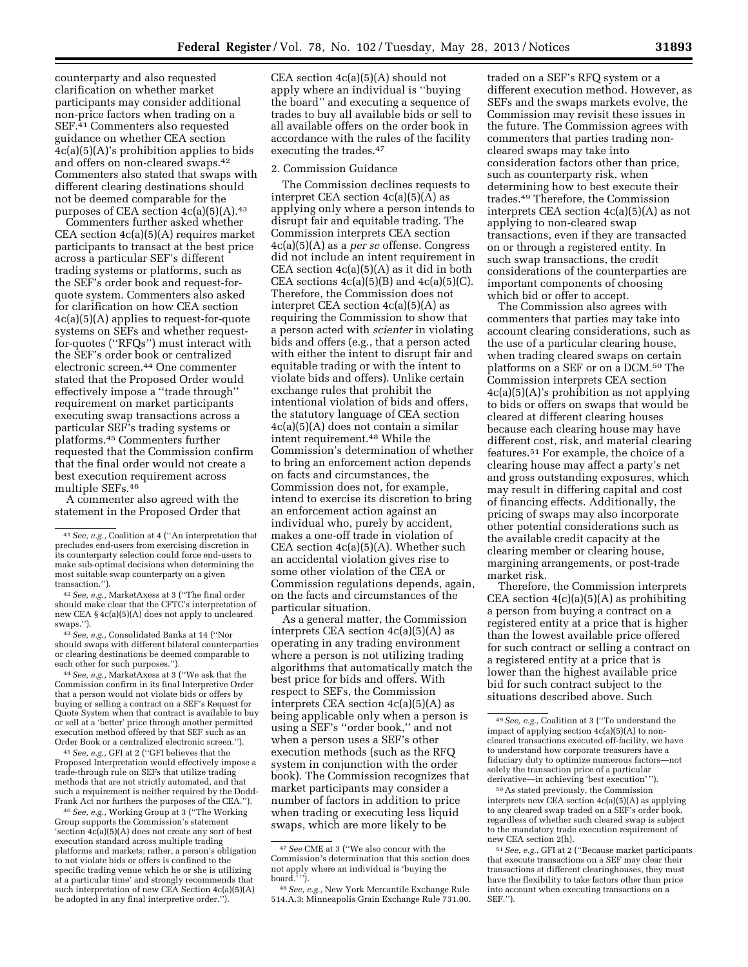counterparty and also requested clarification on whether market participants may consider additional non-price factors when trading on a SEF.<sup>41</sup> Commenters also requested guidance on whether CEA section 4c(a)(5)(A)'s prohibition applies to bids and offers on non-cleared swaps.42 Commenters also stated that swaps with different clearing destinations should not be deemed comparable for the purposes of CEA section  $4c(a)(5)(A).43$ 

Commenters further asked whether CEA section 4c(a)(5)(A) requires market participants to transact at the best price across a particular SEF's different trading systems or platforms, such as the SEF's order book and request-forquote system. Commenters also asked for clarification on how CEA section 4c(a)(5)(A) applies to request-for-quote systems on SEFs and whether requestfor-quotes (''RFQs'') must interact with the SEF's order book or centralized electronic screen.44 One commenter stated that the Proposed Order would effectively impose a ''trade through'' requirement on market participants executing swap transactions across a particular SEF's trading systems or platforms.45 Commenters further requested that the Commission confirm that the final order would not create a best execution requirement across multiple SEFs.46

A commenter also agreed with the statement in the Proposed Order that

42*See, e.g.,* MarketAxess at 3 (''The final order should make clear that the CFTC's interpretation of new CEA § 4c(a)(5)(A) does not apply to uncleared swaps.'').

43*See, e.g.,* Consolidated Banks at 14 (''Nor should swaps with different bilateral counterparties or clearing destinations be deemed comparable to each other for such purposes.'').

44*See, e.g.,* MarketAxess at 3 (''We ask that the Commission confirm in its final Interpretive Order that a person would not violate bids or offers by buying or selling a contract on a SEF's Request for Quote System when that contract is available to buy or sell at a 'better' price through another permitted execution method offered by that SEF such as an Order Book or a centralized electronic screen.'').

45*See, e.g.,* GFI at 2 (''GFI believes that the Proposed Interpretation would effectively impose a trade-through rule on SEFs that utilize trading methods that are not strictly automated, and that such a requirement is neither required by the Dodd-Frank Act nor furthers the purposes of the CEA.'').

46*See, e.g.,* Working Group at 3 (''The Working Group supports the Commission's statement 'section 4c(a)(5)(A) does not create any sort of best execution standard across multiple trading platforms and markets; rather, a person's obligation to not violate bids or offers is confined to the specific trading venue which he or she is utilizing at a particular time' and strongly recommends that such interpretation of new CEA Section 4c(a)(5)(A) be adopted in any final interpretive order.'').

CEA section  $4c(a)(5)(A)$  should not apply where an individual is ''buying the board'' and executing a sequence of trades to buy all available bids or sell to all available offers on the order book in accordance with the rules of the facility executing the trades.47

#### 2. Commission Guidance

The Commission declines requests to interpret CEA section  $4c(a)(5)(A)$  as applying only where a person intends to disrupt fair and equitable trading. The Commission interprets CEA section 4c(a)(5)(A) as a *per se* offense. Congress did not include an intent requirement in CEA section 4c(a)(5)(A) as it did in both CEA sections  $4c(a)(5)(B)$  and  $4c(a)(5)(C)$ . Therefore, the Commission does not interpret CEA section  $4c(a)(5)(A)$  as requiring the Commission to show that a person acted with *scienter* in violating bids and offers (e.g., that a person acted with either the intent to disrupt fair and equitable trading or with the intent to violate bids and offers). Unlike certain exchange rules that prohibit the intentional violation of bids and offers, the statutory language of CEA section 4c(a)(5)(A) does not contain a similar intent requirement.48 While the Commission's determination of whether to bring an enforcement action depends on facts and circumstances, the Commission does not, for example, intend to exercise its discretion to bring an enforcement action against an individual who, purely by accident, makes a one-off trade in violation of CEA section  $4c(a)(5)(A)$ . Whether such an accidental violation gives rise to some other violation of the CEA or Commission regulations depends, again, on the facts and circumstances of the particular situation.

As a general matter, the Commission interprets CEA section 4c(a)(5)(A) as operating in any trading environment where a person is not utilizing trading algorithms that automatically match the best price for bids and offers. With respect to SEFs, the Commission interprets CEA section 4c(a)(5)(A) as being applicable only when a person is using a SEF's ''order book,'' and not when a person uses a SEF's other execution methods (such as the RFQ system in conjunction with the order book). The Commission recognizes that market participants may consider a number of factors in addition to price when trading or executing less liquid swaps, which are more likely to be

traded on a SEF's RFQ system or a different execution method. However, as SEFs and the swaps markets evolve, the Commission may revisit these issues in the future. The Commission agrees with commenters that parties trading noncleared swaps may take into consideration factors other than price, such as counterparty risk, when determining how to best execute their trades.49 Therefore, the Commission interprets CEA section 4c(a)(5)(A) as not applying to non-cleared swap transactions, even if they are transacted on or through a registered entity. In such swap transactions, the credit considerations of the counterparties are important components of choosing which bid or offer to accept.

The Commission also agrees with commenters that parties may take into account clearing considerations, such as the use of a particular clearing house, when trading cleared swaps on certain platforms on a SEF or on a DCM.50 The Commission interprets CEA section 4c(a)(5)(A)'s prohibition as not applying to bids or offers on swaps that would be cleared at different clearing houses because each clearing house may have different cost, risk, and material clearing features.51 For example, the choice of a clearing house may affect a party's net and gross outstanding exposures, which may result in differing capital and cost of financing effects. Additionally, the pricing of swaps may also incorporate other potential considerations such as the available credit capacity at the clearing member or clearing house, margining arrangements, or post-trade market risk.

Therefore, the Commission interprets CEA section  $4(c)(a)(5)(A)$  as prohibiting a person from buying a contract on a registered entity at a price that is higher than the lowest available price offered for such contract or selling a contract on a registered entity at a price that is lower than the highest available price bid for such contract subject to the situations described above. Such

50As stated previously, the Commission interprets new CEA section 4c(a)(5)(A) as applying to any cleared swap traded on a SEF's order book, regardless of whether such cleared swap is subject to the mandatory trade execution requirement of new CEA section 2(h).

<sup>41</sup>*See, e.g.,* Coalition at 4 (''An interpretation that precludes end-users from exercising discretion in its counterparty selection could force end-users to make sub-optimal decisions when determining the most suitable swap counterparty on a given transaction.'').

<sup>47</sup>*See* CME at 3 (''We also concur with the Commission's determination that this section does not apply where an individual is 'buying the board.' '').

<sup>48</sup>*See, e.g.,* New York Mercantile Exchange Rule 514.A.3; Minneapolis Grain Exchange Rule 731.00.

<sup>49</sup>*See, e.g.,* Coalition at 3 (''To understand the impact of applying section 4c(a)(5)(A) to noncleared transactions executed off-facility, we have to understand how corporate treasurers have a fiduciary duty to optimize numerous factors—not solely the transaction price of a particular derivative—in achieving 'best execution' '').

<sup>51</sup>*See, e.g.,* GFI at 2 (''Because market participants that execute transactions on a SEF may clear their transactions at different clearinghouses, they must have the flexibility to take factors other than price into account when executing transactions on a SEF.'').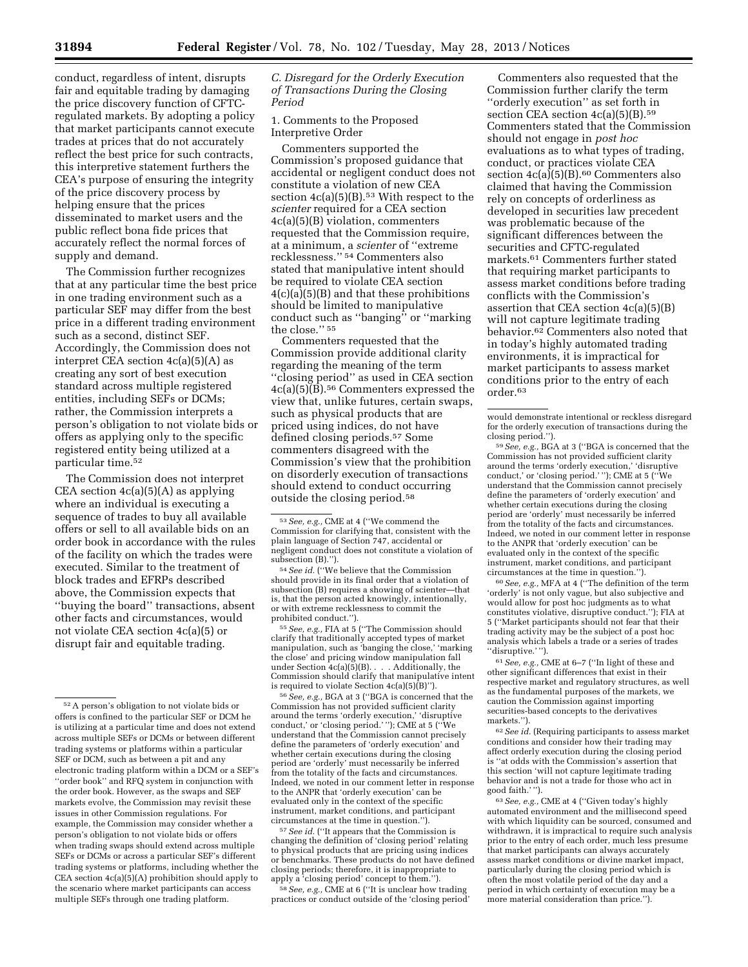conduct, regardless of intent, disrupts fair and equitable trading by damaging the price discovery function of CFTCregulated markets. By adopting a policy that market participants cannot execute trades at prices that do not accurately reflect the best price for such contracts, this interpretive statement furthers the CEA's purpose of ensuring the integrity of the price discovery process by helping ensure that the prices disseminated to market users and the public reflect bona fide prices that accurately reflect the normal forces of supply and demand.

The Commission further recognizes that at any particular time the best price in one trading environment such as a particular SEF may differ from the best price in a different trading environment such as a second, distinct SEF. Accordingly, the Commission does not interpret CEA section  $4c(a)(5)(A)$  as creating any sort of best execution standard across multiple registered entities, including SEFs or DCMs; rather, the Commission interprets a person's obligation to not violate bids or offers as applying only to the specific registered entity being utilized at a particular time.52

The Commission does not interpret CEA section 4c(a)(5)(A) as applying where an individual is executing a sequence of trades to buy all available offers or sell to all available bids on an order book in accordance with the rules of the facility on which the trades were executed. Similar to the treatment of block trades and EFRPs described above, the Commission expects that ''buying the board'' transactions, absent other facts and circumstances, would not violate CEA section 4c(a)(5) or disrupt fair and equitable trading.

*C. Disregard for the Orderly Execution of Transactions During the Closing Period* 

1. Comments to the Proposed Interpretive Order

Commenters supported the Commission's proposed guidance that accidental or negligent conduct does not constitute a violation of new CEA section  $4c(a)(5)(B)$ .<sup>53</sup> With respect to the *scienter* required for a CEA section 4c(a)(5)(B) violation, commenters requested that the Commission require, at a minimum, a *scienter* of ''extreme recklessness.'' 54 Commenters also stated that manipulative intent should be required to violate CEA section  $4(c)(a)(5)(B)$  and that these prohibitions should be limited to manipulative conduct such as ''banging'' or ''marking the close.'' 55

Commenters requested that the Commission provide additional clarity regarding the meaning of the term ''closing period'' as used in CEA section 4c(a)(5)(B).56 Commenters expressed the view that, unlike futures, certain swaps, such as physical products that are priced using indices, do not have defined closing periods.57 Some commenters disagreed with the Commission's view that the prohibition on disorderly execution of transactions should extend to conduct occurring outside the closing period.58

subsection (B).''). 54*See id.* (''We believe that the Commission should provide in its final order that a violation of subsection (B) requires a showing of scienter—that is, that the person acted knowingly, intentionally, or with extreme recklessness to commit the

<sup>55</sup> See, e.g., FIA at 5 ("The Commission should clarify that traditionally accepted types of market manipulation, such as 'banging the close,' 'marking the close' and pricing window manipulation fall under Section  $4c(a)(5)(B)$ . . . . Additionally, the Commission should clarify that manipulative intent<br>is required to violate Section  $4c(a)(5)(B)$ ").

<sup>56</sup> See, e.g., BGA at 3 ("BGA is concerned that the Commission has not provided sufficient clarity around the terms 'orderly execution,' 'disruptive conduct,' or 'closing period.' ''); CME at 5 (''We understand that the Commission cannot precisely define the parameters of 'orderly execution' and whether certain executions during the closing period are 'orderly' must necessarily be inferred from the totality of the facts and circumstances Indeed, we noted in our comment letter in response to the ANPR that 'orderly execution' can be evaluated only in the context of the specific instrument, market conditions, and participant

<sup>57</sup> See id. ("It appears that the Commission is changing the definition of 'closing period' relating to physical products that are pricing using indices or benchmarks. These products do not have defined closing periods; therefore, it is inappropriate to apply a 'closing period' concept to them.'').

<sup>58</sup> See, e.g., CME at 6 ("It is unclear how trading practices or conduct outside of the 'closing period'

Commenters also requested that the Commission further clarify the term ''orderly execution'' as set forth in section CEA section  $4c(a)(5)(B)$ .<sup>59</sup> Commenters stated that the Commission should not engage in *post hoc*  evaluations as to what types of trading, conduct, or practices violate CEA section  $4c(a)(5)(B).<sup>60</sup> Comments also$ claimed that having the Commission rely on concepts of orderliness as developed in securities law precedent was problematic because of the significant differences between the securities and CFTC-regulated markets.61 Commenters further stated that requiring market participants to assess market conditions before trading conflicts with the Commission's assertion that CEA section 4c(a)(5)(B) will not capture legitimate trading behavior.62 Commenters also noted that in today's highly automated trading environments, it is impractical for market participants to assess market conditions prior to the entry of each order.63

59*See, e.g.,* BGA at 3 (''BGA is concerned that the Commission has not provided sufficient clarity around the terms 'orderly execution,' 'disruptive conduct,' or 'closing period.' ''); CME at 5 (''We understand that the Commission cannot precisely define the parameters of 'orderly execution' and whether certain executions during the closing period are 'orderly' must necessarily be inferred from the totality of the facts and circumstances. Indeed, we noted in our comment letter in response to the ANPR that 'orderly execution' can be evaluated only in the context of the specific instrument, market conditions, and participant circumstances at the time in question.'').

60*See, e.g.,* MFA at 4 (''The definition of the term 'orderly' is not only vague, but also subjective and would allow for post hoc judgments as to what constitutes violative, disruptive conduct.''); FIA at 5 (''Market participants should not fear that their trading activity may be the subject of a post hoc analysis which labels a trade or a series of trades ''disruptive.' '').

61*See, e.g.,* CME at 6–7 (''In light of these and other significant differences that exist in their respective market and regulatory structures, as well as the fundamental purposes of the markets, we caution the Commission against importing securities-based concepts to the derivatives markets.'').

62*See id.* (Requiring participants to assess market conditions and consider how their trading may affect orderly execution during the closing period is ''at odds with the Commission's assertion that this section 'will not capture legitimate trading behavior and is not a trade for those who act in good faith.' '').

63*See, e.g.,* CME at 4 (''Given today's highly automated environment and the millisecond speed with which liquidity can be sourced, consumed and withdrawn, it is impractical to require such analysis prior to the entry of each order, much less presume that market participants can always accurately assess market conditions or divine market impact, particularly during the closing period which is often the most volatile period of the day and a period in which certainty of execution may be a more material consideration than price.'').

<sup>52</sup>A person's obligation to not violate bids or offers is confined to the particular SEF or DCM he is utilizing at a particular time and does not extend across multiple SEFs or DCMs or between different trading systems or platforms within a particular SEF or DCM, such as between a pit and any electronic trading platform within a DCM or a SEF's ''order book'' and RFQ system in conjunction with the order book. However, as the swaps and SEF markets evolve, the Commission may revisit these issues in other Commission regulations. For example, the Commission may consider whether a person's obligation to not violate bids or offers when trading swaps should extend across multiple SEFs or DCMs or across a particular SEF's different trading systems or platforms, including whether the CEA section 4c(a)(5)(A) prohibition should apply to the scenario where market participants can access multiple SEFs through one trading platform.

<sup>53</sup>*See, e.g.,* CME at 4 (''We commend the Commission for clarifying that, consistent with the plain language of Section 747, accidental or negligent conduct does not constitute a violation of

would demonstrate intentional or reckless disregard for the orderly execution of transactions during the closing period.'').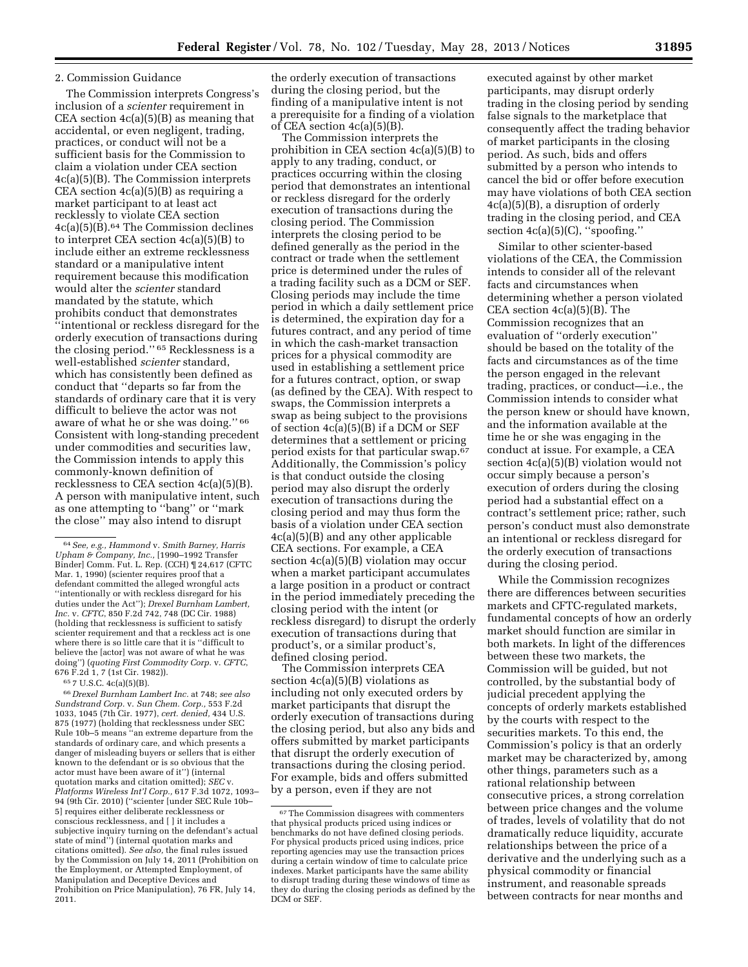### 2. Commission Guidance

The Commission interprets Congress's inclusion of a *scienter* requirement in CEA section  $4c(a)(5)(B)$  as meaning that accidental, or even negligent, trading, practices, or conduct will not be a sufficient basis for the Commission to claim a violation under CEA section 4c(a)(5)(B). The Commission interprets CEA section 4c(a)(5)(B) as requiring a market participant to at least act recklessly to violate CEA section 4c(a)(5)(B).64 The Commission declines to interpret CEA section 4c(a)(5)(B) to include either an extreme recklessness standard or a manipulative intent requirement because this modification would alter the *scienter* standard mandated by the statute, which prohibits conduct that demonstrates ''intentional or reckless disregard for the orderly execution of transactions during the closing period.'' 65 Recklessness is a well-established *scienter* standard, which has consistently been defined as conduct that ''departs so far from the standards of ordinary care that it is very difficult to believe the actor was not aware of what he or she was doing.'' 66 Consistent with long-standing precedent under commodities and securities law, the Commission intends to apply this commonly-known definition of recklessness to CEA section 4c(a)(5)(B). A person with manipulative intent, such as one attempting to ''bang'' or ''mark the close'' may also intend to disrupt

65 7 U.S.C. 4c(a)(5)(B).

66 *Drexel Burnham Lambert Inc.* at 748; *see also Sundstrand Corp.* v. *Sun Chem. Corp.,* 553 F.2d 1033, 1045 (7th Cir. 1977), *cert. denied,* 434 U.S. 875 (1977) (holding that recklessness under SEC Rule 10b–5 means ''an extreme departure from the standards of ordinary care, and which presents a danger of misleading buyers or sellers that is either known to the defendant or is so obvious that the actor must have been aware of it'') (internal quotation marks and citation omitted); *SEC* v. *Platforms Wireless Int'l Corp.,* 617 F.3d 1072, 1093– 94 (9th Cir. 2010) (''scienter [under SEC Rule 10b– 5] requires either deliberate recklessness or conscious recklessness, and [ ] it includes a subjective inquiry turning on the defendant's actual state of mind'') (internal quotation marks and citations omitted). *See also,* the final rules issued by the Commission on July 14, 2011 (Prohibition on the Employment, or Attempted Employment, of Manipulation and Deceptive Devices and Prohibition on Price Manipulation), 76 FR, July 14, 2011.

The Commission interprets the prohibition in CEA section 4c(a)(5)(B) to apply to any trading, conduct, or practices occurring within the closing period that demonstrates an intentional or reckless disregard for the orderly execution of transactions during the closing period. The Commission interprets the closing period to be defined generally as the period in the contract or trade when the settlement price is determined under the rules of a trading facility such as a DCM or SEF. Closing periods may include the time period in which a daily settlement price is determined, the expiration day for a futures contract, and any period of time in which the cash-market transaction prices for a physical commodity are used in establishing a settlement price for a futures contract, option, or swap (as defined by the CEA). With respect to swaps, the Commission interprets a swap as being subject to the provisions of section 4c(a)(5)(B) if a DCM or SEF determines that a settlement or pricing period exists for that particular swap.67 Additionally, the Commission's policy is that conduct outside the closing period may also disrupt the orderly execution of transactions during the closing period and may thus form the basis of a violation under CEA section 4c(a)(5)(B) and any other applicable CEA sections. For example, a CEA section 4c(a)(5)(B) violation may occur when a market participant accumulates a large position in a product or contract in the period immediately preceding the closing period with the intent (or reckless disregard) to disrupt the orderly execution of transactions during that product's, or a similar product's, defined closing period.

The Commission interprets CEA section 4c(a)(5)(B) violations as including not only executed orders by market participants that disrupt the orderly execution of transactions during the closing period, but also any bids and offers submitted by market participants that disrupt the orderly execution of transactions during the closing period. For example, bids and offers submitted by a person, even if they are not

executed against by other market participants, may disrupt orderly trading in the closing period by sending false signals to the marketplace that consequently affect the trading behavior of market participants in the closing period. As such, bids and offers submitted by a person who intends to cancel the bid or offer before execution may have violations of both CEA section 4c(a)(5)(B), a disruption of orderly trading in the closing period, and CEA section 4c(a)(5)(C), ''spoofing.''

Similar to other scienter-based violations of the CEA, the Commission intends to consider all of the relevant facts and circumstances when determining whether a person violated CEA section 4c(a)(5)(B). The Commission recognizes that an evaluation of ''orderly execution'' should be based on the totality of the facts and circumstances as of the time the person engaged in the relevant trading, practices, or conduct—i.e., the Commission intends to consider what the person knew or should have known, and the information available at the time he or she was engaging in the conduct at issue. For example, a CEA section 4c(a)(5)(B) violation would not occur simply because a person's execution of orders during the closing period had a substantial effect on a contract's settlement price; rather, such person's conduct must also demonstrate an intentional or reckless disregard for the orderly execution of transactions during the closing period.

While the Commission recognizes there are differences between securities markets and CFTC-regulated markets, fundamental concepts of how an orderly market should function are similar in both markets. In light of the differences between these two markets, the Commission will be guided, but not controlled, by the substantial body of judicial precedent applying the concepts of orderly markets established by the courts with respect to the securities markets. To this end, the Commission's policy is that an orderly market may be characterized by, among other things, parameters such as a rational relationship between consecutive prices, a strong correlation between price changes and the volume of trades, levels of volatility that do not dramatically reduce liquidity, accurate relationships between the price of a derivative and the underlying such as a physical commodity or financial instrument, and reasonable spreads between contracts for near months and

<sup>64</sup>*See, e.g., Hammond* v. *Smith Barney, Harris Upham & Company, Inc.,* [1990–1992 Transfer Binder] Comm. Fut. L. Rep. (CCH) ¶ 24,617 (CFTC Mar. 1, 1990) (scienter requires proof that a defendant committed the alleged wrongful acts ''intentionally or with reckless disregard for his duties under the Act''); *Drexel Burnham Lambert, Inc.* v. *CFTC*, 850 F.2d 742, 748 (DC Cir. 1988) (holding that recklessness is sufficient to satisfy scienter requirement and that a reckless act is one where there is so little care that it is ''difficult to believe the [actor] was not aware of what he was doing'') (*quoting First Commodity Corp.* v. *CFTC*, 676 F.2d 1, 7 (1st Cir. 1982)).

the orderly execution of transactions during the closing period, but the finding of a manipulative intent is not a prerequisite for a finding of a violation of CEA section  $4c(a)(5)(B)$ .

 $\rm ^{67}$  The Commission disagrees with commenters that physical products priced using indices or benchmarks do not have defined closing periods. For physical products priced using indices, price reporting agencies may use the transaction prices during a certain window of time to calculate price indexes. Market participants have the same ability to disrupt trading during these windows of time as they do during the closing periods as defined by the DCM or SEF.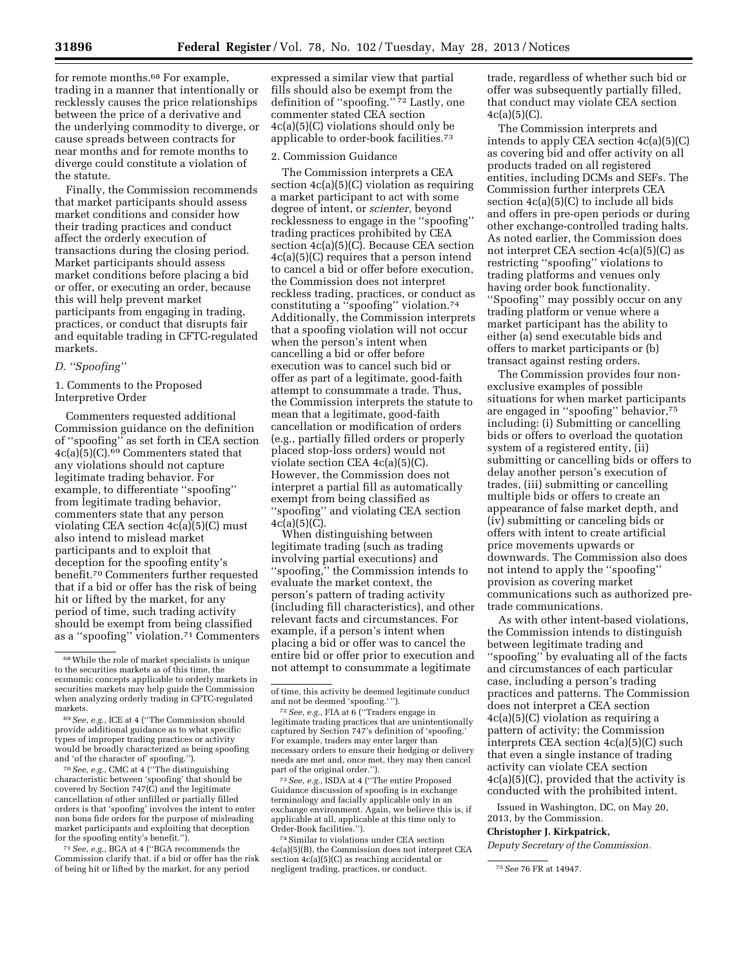for remote months.68 For example, trading in a manner that intentionally or recklessly causes the price relationships between the price of a derivative and the underlying commodity to diverge, or cause spreads between contracts for near months and for remote months to diverge could constitute a violation of the statute.

Finally, the Commission recommends that market participants should assess market conditions and consider how their trading practices and conduct affect the orderly execution of transactions during the closing period. Market participants should assess market conditions before placing a bid or offer, or executing an order, because this will help prevent market participants from engaging in trading, practices, or conduct that disrupts fair and equitable trading in CFTC-regulated markets.

## *D. ''Spoofing''*

1. Comments to the Proposed Interpretive Order

Commenters requested additional Commission guidance on the definition of ''spoofing'' as set forth in CEA section 4c(a)(5)(C).69 Commenters stated that any violations should not capture legitimate trading behavior. For example, to differentiate ''spoofing'' from legitimate trading behavior, commenters state that any person violating CEA section  $4c(a)(5)(C)$  must also intend to mislead market participants and to exploit that deception for the spoofing entity's benefit.70 Commenters further requested that if a bid or offer has the risk of being hit or lifted by the market, for any period of time, such trading activity should be exempt from being classified as a ''spoofing'' violation.71 Commenters

70*See, e.g.,* CMC at 4 (''The distinguishing characteristic between 'spoofing' that should be covered by Section 747(C) and the legitimate cancellation of other unfilled or partially filled orders is that 'spoofing' involves the intent to enter non bona fide orders for the purpose of misleading market participants and exploiting that deception for the spoofing entity's benefit.'').

71*See, e.g.,* BGA at 4 (''BGA recommends the Commission clarify that, if a bid or offer has the risk of being hit or lifted by the market, for any period

expressed a similar view that partial fills should also be exempt from the definition of ''spoofing.'' 72 Lastly, one commenter stated CEA section 4c(a)(5)(C) violations should only be applicable to order-book facilities.73

#### 2. Commission Guidance

The Commission interprets a CEA section 4c(a)(5)(C) violation as requiring a market participant to act with some degree of intent, or *scienter,* beyond recklessness to engage in the ''spoofing'' trading practices prohibited by CEA section 4c(a)(5)(C). Because CEA section 4c(a)(5)(C) requires that a person intend to cancel a bid or offer before execution, the Commission does not interpret reckless trading, practices, or conduct as constituting a ''spoofing'' violation.74 Additionally, the Commission interprets that a spoofing violation will not occur when the person's intent when cancelling a bid or offer before execution was to cancel such bid or offer as part of a legitimate, good-faith attempt to consummate a trade. Thus, the Commission interprets the statute to mean that a legitimate, good-faith cancellation or modification of orders (e.g., partially filled orders or properly placed stop-loss orders) would not violate section CEA 4c(a)(5)(C). However, the Commission does not interpret a partial fill as automatically exempt from being classified as ''spoofing'' and violating CEA section  $4c(a)(5)(C)$ .

When distinguishing between legitimate trading (such as trading involving partial executions) and ''spoofing,'' the Commission intends to evaluate the market context, the person's pattern of trading activity (including fill characteristics), and other relevant facts and circumstances. For example, if a person's intent when placing a bid or offer was to cancel the entire bid or offer prior to execution and not attempt to consummate a legitimate

73*See, e.g.,* ISDA at 4 (''The entire Proposed Guidance discussion of spoofing is in exchange terminology and facially applicable only in an exchange environment. Again, we believe this is, if applicable at all, applicable at this time only to Order-Book facilities.'').

74Similar to violations under CEA section 4c(a)(5)(B), the Commission does not interpret CEA section 4c(a)(5)(C) as reaching accidental or negligent trading, practices, or conduct. 75*See* 76 FR at 14947.

trade, regardless of whether such bid or offer was subsequently partially filled, that conduct may violate CEA section  $4c(a)(5)(C)$ .

The Commission interprets and intends to apply CEA section 4c(a)(5)(C) as covering bid and offer activity on all products traded on all registered entities, including DCMs and SEFs. The Commission further interprets CEA section 4c(a)(5)(C) to include all bids and offers in pre-open periods or during other exchange-controlled trading halts. As noted earlier, the Commission does not interpret CEA section 4c(a)(5)(C) as restricting ''spoofing'' violations to trading platforms and venues only having order book functionality. ''Spoofing'' may possibly occur on any trading platform or venue where a market participant has the ability to either (a) send executable bids and offers to market participants or (b) transact against resting orders.

The Commission provides four nonexclusive examples of possible situations for when market participants are engaged in ''spoofing'' behavior,75 including: (i) Submitting or cancelling bids or offers to overload the quotation system of a registered entity, (ii) submitting or cancelling bids or offers to delay another person's execution of trades, (iii) submitting or cancelling multiple bids or offers to create an appearance of false market depth, and (iv) submitting or canceling bids or offers with intent to create artificial price movements upwards or downwards. The Commission also does not intend to apply the ''spoofing'' provision as covering market communications such as authorized pretrade communications.

As with other intent-based violations, the Commission intends to distinguish between legitimate trading and ''spoofing'' by evaluating all of the facts and circumstances of each particular case, including a person's trading practices and patterns. The Commission does not interpret a CEA section 4c(a)(5)(C) violation as requiring a pattern of activity; the Commission interprets CEA section 4c(a)(5)(C) such that even a single instance of trading activity can violate CEA section 4c(a)(5)(C), provided that the activity is conducted with the prohibited intent.

Issued in Washington, DC, on May 20, 2013, by the Commission.

### **Christopher J. Kirkpatrick,**

*Deputy Secretary of the Commission.* 

<sup>68</sup>While the role of market specialists is unique to the securities markets as of this time, the economic concepts applicable to orderly markets in securities markets may help guide the Commission when analyzing orderly trading in CFTC-regulated markets.

<sup>69</sup>*See, e.g.,* ICE at 4 (''The Commission should provide additional guidance as to what specific types of improper trading practices or activity would be broadly characterized as being spoofing and 'of the character of' spoofing.'').

of time, this activity be deemed legitimate conduct and not be deemed 'spoofing.'").

<sup>&</sup>lt;sup>72</sup> See, e.g., FIA at 6 ("Traders engage in legitimate trading practices that are unintentionally captured by Section 747's definition of 'spoofing.' For example, traders may enter larger than necessary orders to ensure their hedging or delivery needs are met and, once met, they may then cancel part of the original order.'').